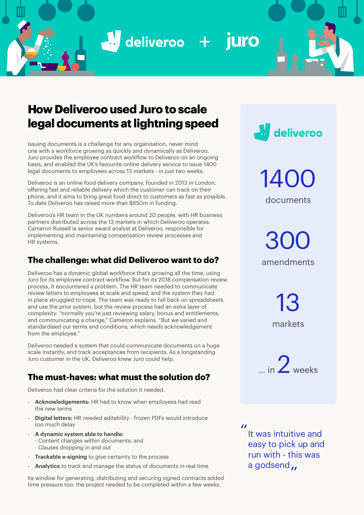$\frac{1}{2}$  deliveroo + juro

# **How Deliveroo used Juro to scale legal documents at lightning speed**

Issuing documents is a challenge for any organisation, never mind one with a workforce growing as quickly and dynamically as Deliveroo. Juro provides the employee contract workflow to Deliveroo on an ongoing basis, and enabled the UK's favourite online delivery service to issue 1400 legal documents to employees across 13 markets - in just two weeks.

Deliveroo is an online food delivery company, founded in 2013 in London, offering fast and reliable delivery which the customer can track on their phone, and it aims to bring great food direct to customers as fast as possible. To date Deliveroo has raised more than \$850m in funding.

Deliveroo's HR team in the UK numbers around 20 people, with HR business partners distributed across the 13 markets in which Deliveroo operates. Cameron Russell is senior award analyst at Deliveroo, responsible for implementing and maintaining compensation review processes and HR systems.

# **The challenge: what did Deliveroo want to do?**

Deliveroo has a dynamic global workforce that's growing all the time, using Juro for its employee contract workflow. But for its 2018 compensation review process, it encountered a problem. The HR team needed to communicate review letters to employees at scale and speed, and the system they had in place struggled to cope. The team was ready to fall back on spreadsheets and use the prior system, but the review process had an extra layer of complexity: "normally you're just reviewing salary, bonus and entitlements, and communicating a change," Cameron explains. "But we varied and standardised our terms and conditions, which needs acknowledgement from the employee."

Deliveroo needed a system that could communicate documents on a huge scale instantly, and track acceptances from recipients. As a longstanding Juro customer in the UK, Deliveroo knew Juro could help.

## **The must-haves: what must the solution do?**

Deliveroo had clear criteria for the solution it needed.

- Acknowledgements: HR had to know when employees had read the new terms
- **Digital letters:** HR needed editability frozen PDFs would introduce too much delay
- **A dynamic system able to handle:**
	- Content changes within documents; and
	- Clauses dropping in and out
- **Trackable e-signing** to give certainty to the process
- Analytics to track and manage the status of documents in real time

Its window for generating, distributing and securing signed contracts added time pressure too: the project needed to be completed within a few weeks.



1400 documents

300 amendments

> 13 markets

 $\frac{1}{2}$  weeks

" It was intuitive and easy to pick up and run with - this was a godsend ..